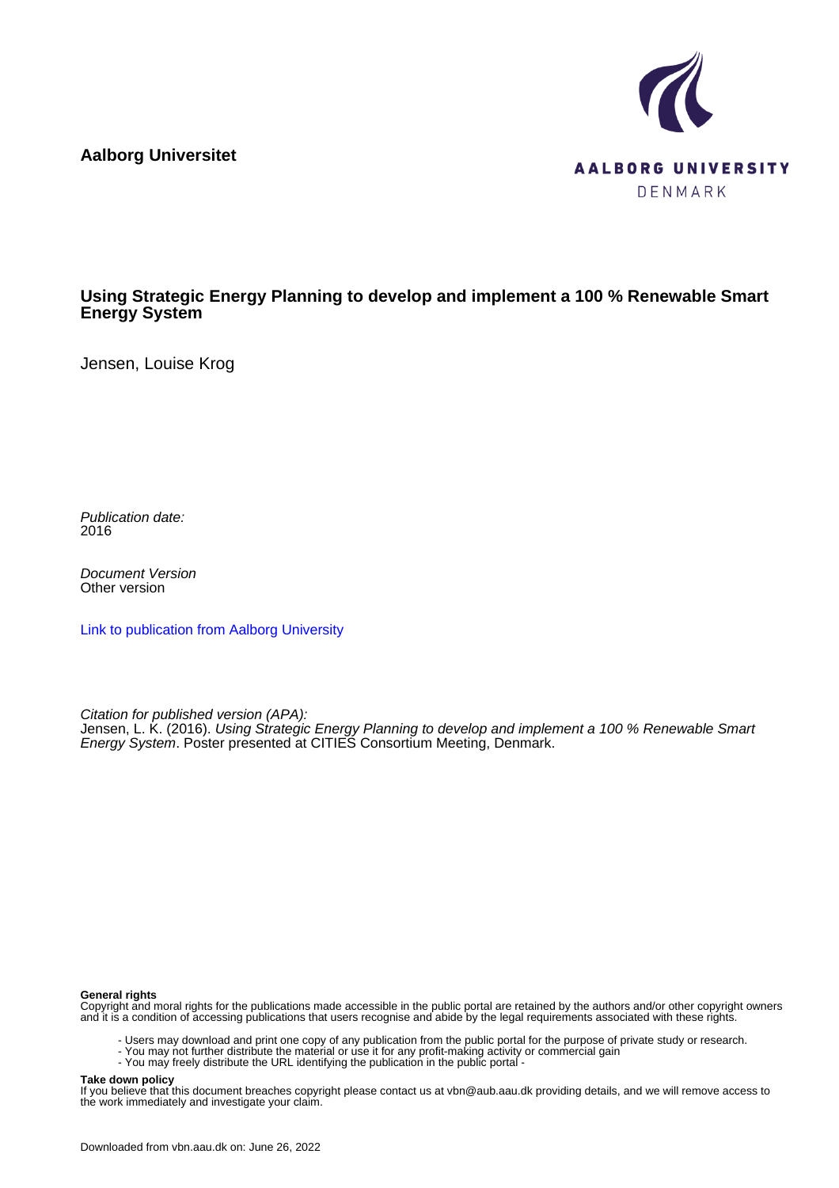**Aalborg Universitet**



### **Using Strategic Energy Planning to develop and implement a 100 % Renewable Smart Energy System**

Jensen, Louise Krog

Publication date: 2016

Document Version Other version

[Link to publication from Aalborg University](https://vbn.aau.dk/en/publications/ddfc961e-1cda-43d7-94ea-7e8988aab168)

Citation for published version (APA):

Jensen, L. K. (2016). Using Strategic Energy Planning to develop and implement a 100 % Renewable Smart Energy System. Poster presented at CITIES Consortium Meeting, Denmark.

#### **General rights**

Copyright and moral rights for the publications made accessible in the public portal are retained by the authors and/or other copyright owners and it is a condition of accessing publications that users recognise and abide by the legal requirements associated with these rights.

- Users may download and print one copy of any publication from the public portal for the purpose of private study or research.
- You may not further distribute the material or use it for any profit-making activity or commercial gain
- You may freely distribute the URL identifying the publication in the public portal -

#### **Take down policy**

If you believe that this document breaches copyright please contact us at vbn@aub.aau.dk providing details, and we will remove access to the work immediately and investigate your claim.